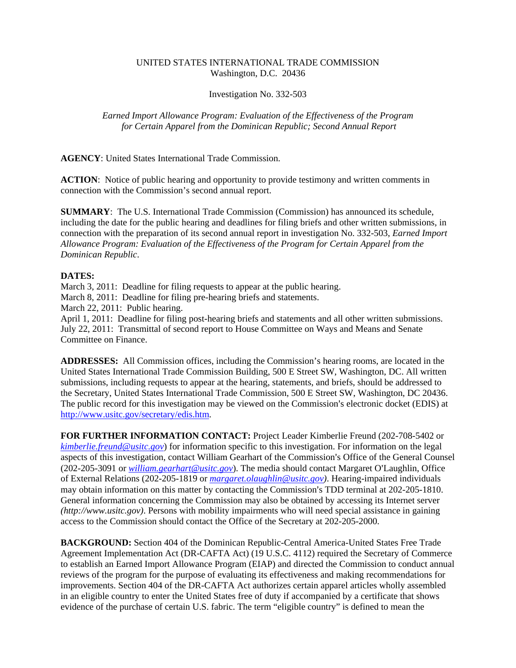## UNITED STATES INTERNATIONAL TRADE COMMISSION Washington, D.C. 20436

## Investigation No. 332-503

## *Earned Import Allowance Program: Evaluation of the Effectiveness of the Program for Certain Apparel from the Dominican Republic; Second Annual Report*

**AGENCY**: United States International Trade Commission.

**ACTION**: Notice of public hearing and opportunity to provide testimony and written comments in connection with the Commission's second annual report.

**SUMMARY**: The U.S. International Trade Commission (Commission) has announced its schedule, including the date for the public hearing and deadlines for filing briefs and other written submissions, in connection with the preparation of its second annual report in investigation No. 332-503, *Earned Import Allowance Program: Evaluation of the Effectiveness of the Program for Certain Apparel from the Dominican Republic*.

## **DATES:**

March 3, 2011: Deadline for filing requests to appear at the public hearing. March 8, 2011: Deadline for filing pre-hearing briefs and statements. March 22, 2011: Public hearing. April 1, 2011: Deadline for filing post-hearing briefs and statements and all other written submissions. July 22, 2011: Transmittal of second report to House Committee on Ways and Means and Senate Committee on Finance.

**ADDRESSES:** All Commission offices, including the Commission's hearing rooms, are located in the United States International Trade Commission Building, 500 E Street SW, Washington, DC. All written submissions, including requests to appear at the hearing, statements, and briefs, should be addressed to the Secretary, United States International Trade Commission, 500 E Street SW, Washington, DC 20436. The public record for this investigation may be viewed on the Commission's electronic docket (EDIS) at http://www.usitc.gov/secretary/edis.htm.

**FOR FURTHER INFORMATION CONTACT:** Project Leader Kimberlie Freund (202-708-5402 or *kimberlie.freund@usitc.gov*) for information specific to this investigation. For information on the legal aspects of this investigation, contact William Gearhart of the Commission's Office of the General Counsel (202-205-3091 or *william.gearhart@usitc.gov*). The media should contact Margaret O'Laughlin, Office of External Relations (202-205-1819 or *margaret.olaughlin@usitc.gov)*. Hearing-impaired individuals may obtain information on this matter by contacting the Commission's TDD terminal at 202-205-1810. General information concerning the Commission may also be obtained by accessing its Internet server *(http://www.usitc.gov)*. Persons with mobility impairments who will need special assistance in gaining access to the Commission should contact the Office of the Secretary at 202-205-2000.

**BACKGROUND:** Section 404 of the Dominican Republic-Central America-United States Free Trade Agreement Implementation Act (DR-CAFTA Act) (19 U.S.C. 4112) required the Secretary of Commerce to establish an Earned Import Allowance Program (EIAP) and directed the Commission to conduct annual reviews of the program for the purpose of evaluating its effectiveness and making recommendations for improvements. Section 404 of the DR-CAFTA Act authorizes certain apparel articles wholly assembled in an eligible country to enter the United States free of duty if accompanied by a certificate that shows evidence of the purchase of certain U.S. fabric. The term "eligible country" is defined to mean the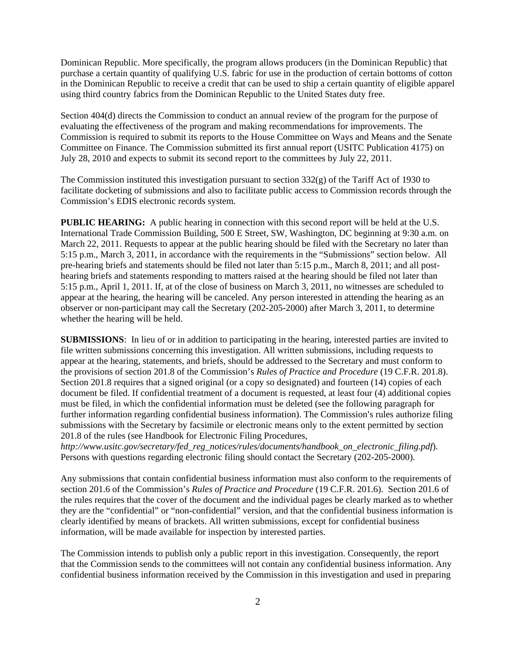Dominican Republic. More specifically, the program allows producers (in the Dominican Republic) that purchase a certain quantity of qualifying U.S. fabric for use in the production of certain bottoms of cotton in the Dominican Republic to receive a credit that can be used to ship a certain quantity of eligible apparel using third country fabrics from the Dominican Republic to the United States duty free.

Section 404(d) directs the Commission to conduct an annual review of the program for the purpose of evaluating the effectiveness of the program and making recommendations for improvements. The Commission is required to submit its reports to the House Committee on Ways and Means and the Senate Committee on Finance. The Commission submitted its first annual report (USITC Publication 4175) on July 28, 2010 and expects to submit its second report to the committees by July 22, 2011.

The Commission instituted this investigation pursuant to section 332(g) of the Tariff Act of 1930 to facilitate docketing of submissions and also to facilitate public access to Commission records through the Commission's EDIS electronic records system.

**PUBLIC HEARING:** A public hearing in connection with this second report will be held at the U.S. International Trade Commission Building, 500 E Street, SW, Washington, DC beginning at 9:30 a.m. on March 22, 2011. Requests to appear at the public hearing should be filed with the Secretary no later than 5:15 p.m., March 3, 2011, in accordance with the requirements in the "Submissions" section below. All pre-hearing briefs and statements should be filed not later than 5:15 p.m., March 8, 2011; and all posthearing briefs and statements responding to matters raised at the hearing should be filed not later than 5:15 p.m., April 1, 2011. If, at of the close of business on March 3, 2011, no witnesses are scheduled to appear at the hearing, the hearing will be canceled. Any person interested in attending the hearing as an observer or non-participant may call the Secretary (202-205-2000) after March 3, 2011, to determine whether the hearing will be held.

**SUBMISSIONS**: In lieu of or in addition to participating in the hearing, interested parties are invited to file written submissions concerning this investigation. All written submissions, including requests to appear at the hearing, statements, and briefs, should be addressed to the Secretary and must conform to the provisions of section 201.8 of the Commission's *Rules of Practice and Procedure* (19 C.F.R. 201.8). Section 201.8 requires that a signed original (or a copy so designated) and fourteen (14) copies of each document be filed. If confidential treatment of a document is requested, at least four (4) additional copies must be filed, in which the confidential information must be deleted (see the following paragraph for further information regarding confidential business information). The Commission's rules authorize filing submissions with the Secretary by facsimile or electronic means only to the extent permitted by section 201.8 of the rules (see Handbook for Electronic Filing Procedures,

*http://www.usitc.gov/secretary/fed\_reg\_notices/rules/documents/handbook\_on\_electronic\_filing.pdf*). Persons with questions regarding electronic filing should contact the Secretary (202-205-2000).

Any submissions that contain confidential business information must also conform to the requirements of section 201.6 of the Commission's *Rules of Practice and Procedure* (19 C.F.R. 201.6). Section 201.6 of the rules requires that the cover of the document and the individual pages be clearly marked as to whether they are the "confidential" or "non-confidential" version, and that the confidential business information is clearly identified by means of brackets. All written submissions, except for confidential business information, will be made available for inspection by interested parties.

The Commission intends to publish only a public report in this investigation. Consequently, the report that the Commission sends to the committees will not contain any confidential business information. Any confidential business information received by the Commission in this investigation and used in preparing